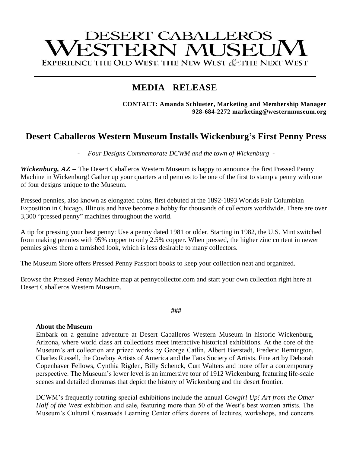# **DESERT CABALLEROS** ESTERN MUSEU EXPERIENCE THE OLD WEST, THE NEW WEST & THE NEXT WEST

## **MEDIA RELEASE**

**CONTACT: Amanda Schlueter, Marketing and Membership Manager 928-684-2272 marketing@westernmuseum.org**

### **Desert Caballeros Western Museum Installs Wickenburg's First Penny Press**

- *Four Designs Commemorate DCWM and the town of Wickenburg -*

*Wickenburg, AZ* – The Desert Caballeros Western Museum is happy to announce the first Pressed Penny Machine in Wickenburg! Gather up your quarters and pennies to be one of the first to stamp a penny with one of four designs unique to the Museum.

Pressed pennies, also known as elongated coins, first debuted at the 1892-1893 Worlds Fair Columbian Exposition in Chicago, Illinois and have become a hobby for thousands of collectors worldwide. There are over 3,300 "pressed penny" machines throughout the world.

A tip for pressing your best penny: Use a penny dated 1981 or older. Starting in 1982, the U.S. Mint switched from making pennies with 95% copper to only 2.5% copper. When pressed, the higher zinc content in newer pennies gives them a tarnished look, which is less desirable to many collectors.

The Museum Store offers Pressed Penny Passport books to keep your collection neat and organized.

Browse the Pressed Penny Machine map at pennycollector.com and start your own collection right here at Desert Caballeros Western Museum.

#### **###**

#### **About the Museum**

Embark on a genuine adventure at Desert Caballeros Western Museum in historic Wickenburg, Arizona, where world class art collections meet interactive historical exhibitions. At the core of the Museum's art collection are prized works by George Catlin, Albert Bierstadt, Frederic Remington, Charles Russell, the Cowboy Artists of America and the Taos Society of Artists. Fine art by Deborah Copenhaver Fellows, Cynthia Rigden, Billy Schenck, Curt Walters and more offer a contemporary perspective. The Museum's lower level is an immersive tour of 1912 Wickenburg, featuring life-scale scenes and detailed dioramas that depict the history of Wickenburg and the desert frontier.

DCWM's frequently rotating special exhibitions include the annual *Cowgirl Up! Art from the Other Half of the West* exhibition and sale, featuring more than 50 of the West's best women artists. The Museum's Cultural Crossroads Learning Center offers dozens of lectures, workshops, and concerts